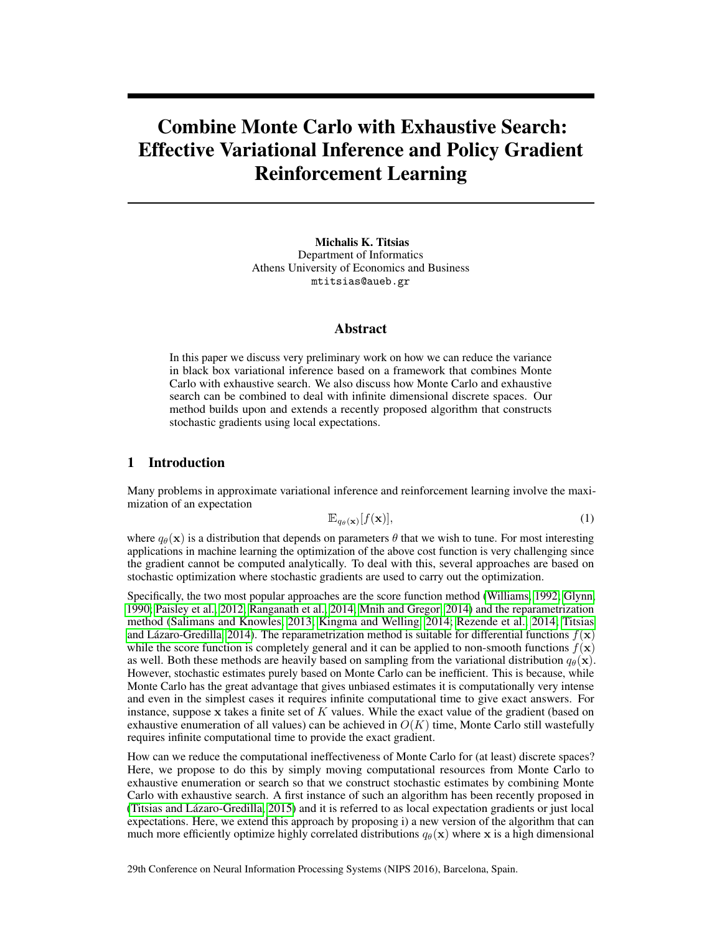# Combine Monte Carlo with Exhaustive Search: Effective Variational Inference and Policy Gradient Reinforcement Learning

Michalis K. Titsias Department of Informatics Athens University of Economics and Business mtitsias@aueb.gr

#### Abstract

In this paper we discuss very preliminary work on how we can reduce the variance in black box variational inference based on a framework that combines Monte Carlo with exhaustive search. We also discuss how Monte Carlo and exhaustive search can be combined to deal with infinite dimensional discrete spaces. Our method builds upon and extends a recently proposed algorithm that constructs stochastic gradients using local expectations.

## 1 Introduction

Many problems in approximate variational inference and reinforcement learning involve the maximization of an expectation

$$
\mathbb{E}_{q_{\theta}(\mathbf{x})}[f(\mathbf{x})],\tag{1}
$$

where  $q_{\theta}(\mathbf{x})$  is a distribution that depends on parameters  $\theta$  that we wish to tune. For most interesting applications in machine learning the optimization of the above cost function is very challenging since the gradient cannot be computed analytically. To deal with this, several approaches are based on stochastic optimization where stochastic gradients are used to carry out the optimization.

Specifically, the two most popular approaches are the score function method [\(Williams, 1992;](#page-3-0) [Glynn,](#page-2-0) [1990;](#page-2-0) [Paisley et al., 2012;](#page-3-1) [Ranganath et al., 2014;](#page-3-2) [Mnih and Gregor, 2014\)](#page-3-3) and the reparametrization method [\(Salimans and Knowles, 2013;](#page-3-4) [Kingma and Welling, 2014;](#page-2-1) [Rezende et al., 2014;](#page-3-5) [Titsias](#page-3-6) [and Lázaro-Gredilla, 2014\)](#page-3-6). The reparametrization method is suitable for differential functions  $f(\mathbf{x})$ while the score function is completely general and it can be applied to non-smooth functions  $f(\mathbf{x})$ as well. Both these methods are heavily based on sampling from the variational distribution  $q_{\theta}(\mathbf{x})$ . However, stochastic estimates purely based on Monte Carlo can be inefficient. This is because, while Monte Carlo has the great advantage that gives unbiased estimates it is computationally very intense and even in the simplest cases it requires infinite computational time to give exact answers. For instance, suppose x takes a finite set of  $K$  values. While the exact value of the gradient (based on exhaustive enumeration of all values) can be achieved in  $O(K)$  time, Monte Carlo still wastefully requires infinite computational time to provide the exact gradient.

How can we reduce the computational ineffectiveness of Monte Carlo for (at least) discrete spaces? Here, we propose to do this by simply moving computational resources from Monte Carlo to exhaustive enumeration or search so that we construct stochastic estimates by combining Monte Carlo with exhaustive search. A first instance of such an algorithm has been recently proposed in [\(Titsias and Lázaro-Gredilla, 2015\)](#page-3-7) and it is referred to as local expectation gradients or just local expectations. Here, we extend this approach by proposing i) a new version of the algorithm that can much more efficiently optimize highly correlated distributions  $q_{\theta}(\mathbf{x})$  where x is a high dimensional

29th Conference on Neural Information Processing Systems (NIPS 2016), Barcelona, Spain.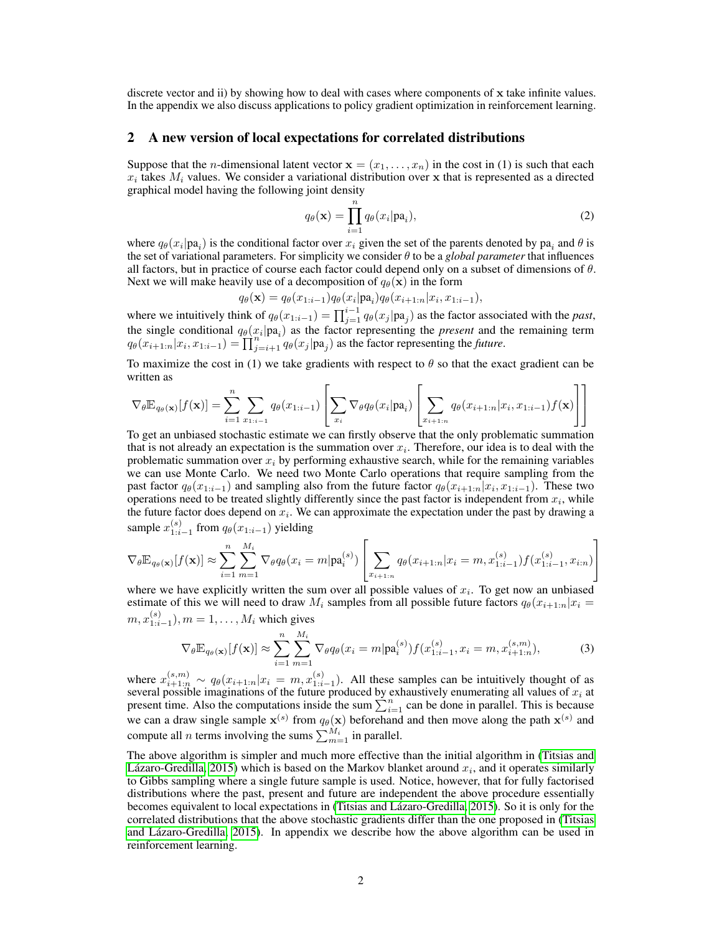discrete vector and ii) by showing how to deal with cases where components of x take infinite values. In the appendix we also discuss applications to policy gradient optimization in reinforcement learning.

#### 2 A new version of local expectations for correlated distributions

Suppose that the *n*-dimensional latent vector  $\mathbf{x} = (x_1, \dots, x_n)$  in the cost in (1) is such that each  $x_i$  takes  $M_i$  values. We consider a variational distribution over x that is represented as a directed graphical model having the following joint density

$$
q_{\theta}(\mathbf{x}) = \prod_{i=1}^{n} q_{\theta}(x_i | \mathbf{pa}_i),
$$
\n(2)

where  $q_{\theta}(x_i|pa_i)$  is the conditional factor over  $x_i$  given the set of the parents denoted by pa<sub>i</sub> and  $\theta$  is the set of variational parameters. For simplicity we consider  $\theta$  to be a *global parameter* that influences all factors, but in practice of course each factor could depend only on a subset of dimensions of  $\theta$ . Next we will make heavily use of a decomposition of  $q_{\theta}(\mathbf{x})$  in the form

$$
q_{\theta}(\mathbf{x}) = q_{\theta}(x_{1:i-1}) q_{\theta}(x_i | \mathbf{pa}_i) q_{\theta}(x_{i+1:n} | x_i, x_{1:i-1}),
$$

where we intuitively think of  $q_{\theta}(x_{1:i-1}) = \prod_{j=1}^{i-1} q_{\theta}(x_j | pa_j)$  as the factor associated with the *past*, the single conditional  $q_{\theta}(x_i|pa_i)$  as the factor representing the *present* and the remaining term  $q_{\theta}(x_{i+1:n}|x_i, x_{1:i-1}) = \prod_{j=i+1}^{i} q_{\theta}(x_j|pa_j)$  as the factor representing the *future*.

To maximize the cost in (1) we take gradients with respect to  $\theta$  so that the exact gradient can be written as

$$
\nabla_{\theta} \mathbb{E}_{q_{\theta}(\mathbf{x})}[f(\mathbf{x})] = \sum_{i=1}^{n} \sum_{x_{1:i-1}} q_{\theta}(x_{1:i-1}) \left[ \sum_{x_{i}} \nabla_{\theta} q_{\theta}(x_{i} | \mathbf{pa}_{i}) \left[ \sum_{x_{i+1:n}} q_{\theta}(x_{i+1:n} | x_{i}, x_{1:i-1}) f(\mathbf{x}) \right] \right]
$$

To get an unbiased stochastic estimate we can firstly observe that the only problematic summation that is not already an expectation is the summation over  $x_i$ . Therefore, our idea is to deal with the problematic summation over  $x_i$  by performing exhaustive search, while for the remaining variables we can use Monte Carlo. We need two Monte Carlo operations that require sampling from the past factor  $q_{\theta}(x_{1:i-1})$  and sampling also from the future factor  $q_{\theta}(x_{i+1:n}|x_i, x_{1:i-1})$ . These two operations need to be treated slightly differently since the past factor is independent from  $x_i$ , while the future factor does depend on  $x_i$ . We can approximate the expectation under the past by drawing a sample  $x_{1:i-1}^{(s)}$  from  $q_{\theta}(x_{1:i-1})$  yielding

$$
\nabla_{\theta} \mathbb{E}_{q_{\theta}(\mathbf{x})}[f(\mathbf{x})] \approx \sum_{i=1}^{n} \sum_{m=1}^{M_i} \nabla_{\theta} q_{\theta}(x_i = m | \mathbf{pa}_i^{(s)}) \left[ \sum_{x_{i+1:n}} q_{\theta}(x_{i+1:n} | x_i = m, x_{1:i-1}^{(s)}) f(x_{1:i-1}^{(s)}, x_{i:n}) \right]
$$

where we have explicitly written the sum over all possible values of  $x_i$ . To get now an unbiased estimate of this we will need to draw  $M_i$  samples from all possible future factors  $q_\theta(x_{i+1:n}|x_i =$  $m, x_{1:i-1}^{(s)}$ ),  $m = 1, \ldots, M_i$  which gives

<span id="page-1-0"></span>
$$
\nabla_{\theta} \mathbb{E}_{q_{\theta}(\mathbf{x})}[f(\mathbf{x})] \approx \sum_{i=1}^{n} \sum_{m=1}^{M_i} \nabla_{\theta} q_{\theta}(x_i = m | \mathbf{pa}_i^{(s)}) f(x_{1:i-1}^{(s)}, x_i = m, x_{i+1:n}^{(s,m)}),
$$
(3)

where  $x_{i+1:n}^{(s,m)} \sim q_{\theta}(x_{i+1:n}|x_i = m, x_{1:i-1}^{(s)})$ . All these samples can be intuitively thought of as several possible imaginations of the future produced by exhaustively enumerating all values of  $x_i$  at present time. Also the computations inside the sum  $\sum_{i=1}^{n}$  can be done in parallel. This is because we can a draw single sample  $x^{(s)}$  from  $q_{\theta}(x)$  beforehand and then move along the path  $x^{(s)}$  and compute all *n* terms involving the sums  $\sum_{m=1}^{M_i}$  in parallel.

The above algorithm is simpler and much more effective than the initial algorithm in [\(Titsias and](#page-3-7) [Lázaro-Gredilla, 2015\)](#page-3-7) which is based on the Markov blanket around  $x_i$ , and it operates similarly to Gibbs sampling where a single future sample is used. Notice, however, that for fully factorised distributions where the past, present and future are independent the above procedure essentially becomes equivalent to local expectations in [\(Titsias and Lázaro-Gredilla, 2015\)](#page-3-7). So it is only for the correlated distributions that the above stochastic gradients differ than the one proposed in [\(Titsias](#page-3-7) [and Lázaro-Gredilla, 2015\)](#page-3-7). In appendix we describe how the above algorithm can be used in reinforcement learning.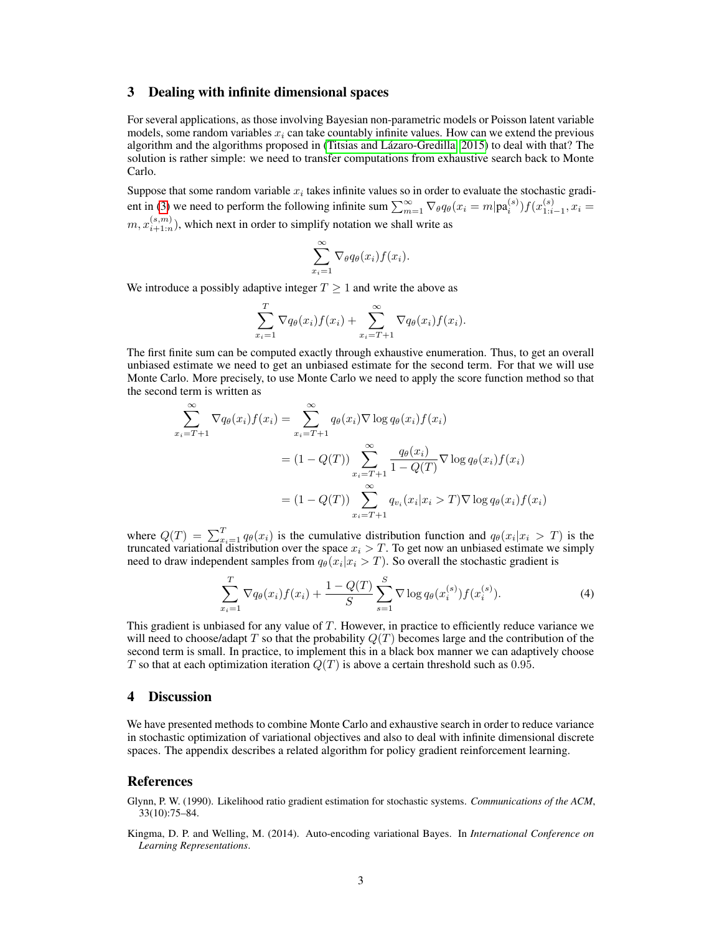#### 3 Dealing with infinite dimensional spaces

For several applications, as those involving Bayesian non-parametric models or Poisson latent variable models, some random variables  $x_i$  can take countably infinite values. How can we extend the previous algorithm and the algorithms proposed in [\(Titsias and Lázaro-Gredilla, 2015\)](#page-3-7) to deal with that? The solution is rather simple: we need to transfer computations from exhaustive search back to Monte Carlo.

Suppose that some random variable  $x_i$  takes infinite values so in order to evaluate the stochastic gradi-ent in [\(3\)](#page-1-0) we need to perform the following infinite sum  $\sum_{m=1}^{\infty} \nabla_{\theta} q_{\theta}(x_i = m | \mathbf{pa}_i^{(s)}) f(x_{1:i-1}^{(s)}, x_i =$  $m, x_{i+1:n}^{(s,m)}$ ), which next in order to simplify notation we shall write as

$$
\sum_{x_i=1}^{\infty} \nabla_{\theta} q_{\theta}(x_i) f(x_i).
$$

We introduce a possibly adaptive integer  $T \geq 1$  and write the above as

$$
\sum_{x_i=1}^T \nabla q_{\theta}(x_i) f(x_i) + \sum_{x_i=T+1}^{\infty} \nabla q_{\theta}(x_i) f(x_i).
$$

The first finite sum can be computed exactly through exhaustive enumeration. Thus, to get an overall unbiased estimate we need to get an unbiased estimate for the second term. For that we will use Monte Carlo. More precisely, to use Monte Carlo we need to apply the score function method so that the second term is written as

$$
\sum_{x_i=T+1}^{\infty} \nabla q_{\theta}(x_i) f(x_i) = \sum_{x_i=T+1}^{\infty} q_{\theta}(x_i) \nabla \log q_{\theta}(x_i) f(x_i)
$$

$$
= (1 - Q(T)) \sum_{x_i=T+1}^{\infty} \frac{q_{\theta}(x_i)}{1 - Q(T)} \nabla \log q_{\theta}(x_i) f(x_i)
$$

$$
= (1 - Q(T)) \sum_{x_i=T+1}^{\infty} q_{v_i}(x_i | x_i > T) \nabla \log q_{\theta}(x_i) f(x_i)
$$

where  $Q(T) = \sum_{x_i=1}^{T} q_{\theta}(x_i)$  is the cumulative distribution function and  $q_{\theta}(x_i|x_i > T)$  is the truncated variational distribution over the space  $x_i > T$ . To get now an unbiased estimate we simply need to draw independent samples from  $q_{\theta}(x_i | x_i > T)$ . So overall the stochastic gradient is

$$
\sum_{x_i=1}^T \nabla q_{\theta}(x_i) f(x_i) + \frac{1 - Q(T)}{S} \sum_{s=1}^S \nabla \log q_{\theta}(x_i^{(s)}) f(x_i^{(s)}).
$$
 (4)

This gradient is unbiased for any value of  $T$ . However, in practice to efficiently reduce variance we will need to choose/adapt T so that the probability  $Q(T)$  becomes large and the contribution of the second term is small. In practice, to implement this in a black box manner we can adaptively choose T so that at each optimization iteration  $Q(T)$  is above a certain threshold such as 0.95.

### 4 Discussion

We have presented methods to combine Monte Carlo and exhaustive search in order to reduce variance in stochastic optimization of variational objectives and also to deal with infinite dimensional discrete spaces. The appendix describes a related algorithm for policy gradient reinforcement learning.

### References

<span id="page-2-0"></span>Glynn, P. W. (1990). Likelihood ratio gradient estimation for stochastic systems. *Communications of the ACM*, 33(10):75–84.

<span id="page-2-1"></span>Kingma, D. P. and Welling, M. (2014). Auto-encoding variational Bayes. In *International Conference on Learning Representations*.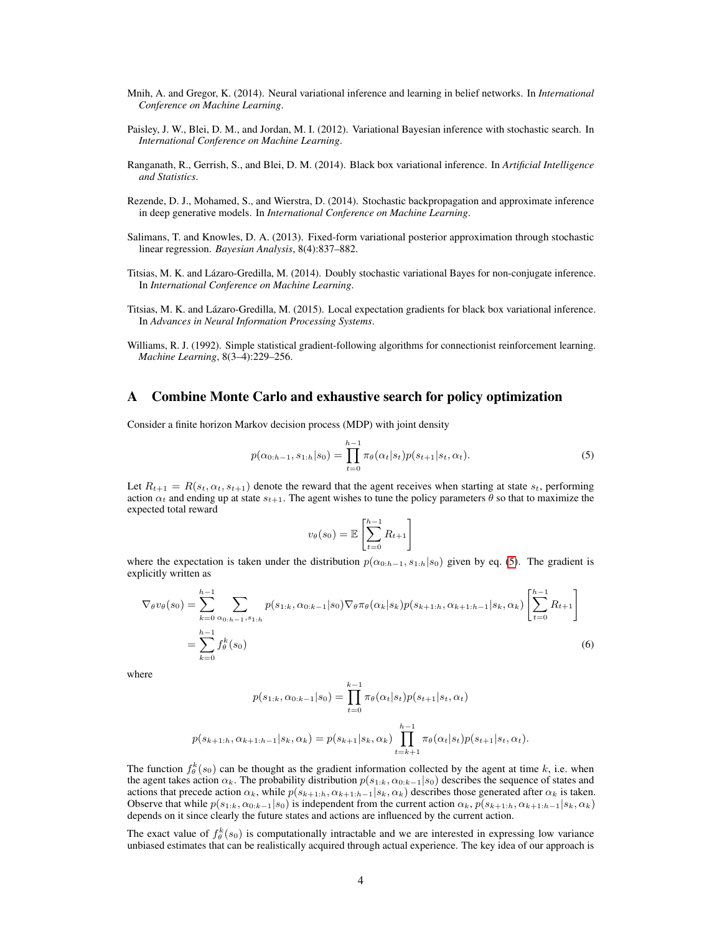- <span id="page-3-3"></span>Mnih, A. and Gregor, K. (2014). Neural variational inference and learning in belief networks. In *International Conference on Machine Learning*.
- <span id="page-3-1"></span>Paisley, J. W., Blei, D. M., and Jordan, M. I. (2012). Variational Bayesian inference with stochastic search. In *International Conference on Machine Learning*.
- <span id="page-3-2"></span>Ranganath, R., Gerrish, S., and Blei, D. M. (2014). Black box variational inference. In *Artificial Intelligence and Statistics*.
- <span id="page-3-5"></span>Rezende, D. J., Mohamed, S., and Wierstra, D. (2014). Stochastic backpropagation and approximate inference in deep generative models. In *International Conference on Machine Learning*.
- <span id="page-3-4"></span>Salimans, T. and Knowles, D. A. (2013). Fixed-form variational posterior approximation through stochastic linear regression. *Bayesian Analysis*, 8(4):837–882.
- <span id="page-3-6"></span>Titsias, M. K. and Lázaro-Gredilla, M. (2014). Doubly stochastic variational Bayes for non-conjugate inference. In *International Conference on Machine Learning*.
- <span id="page-3-7"></span>Titsias, M. K. and Lázaro-Gredilla, M. (2015). Local expectation gradients for black box variational inference. In *Advances in Neural Information Processing Systems*.
- <span id="page-3-0"></span>Williams, R. J. (1992). Simple statistical gradient-following algorithms for connectionist reinforcement learning. *Machine Learning*, 8(3–4):229–256.

### A Combine Monte Carlo and exhaustive search for policy optimization

Consider a finite horizon Markov decision process (MDP) with joint density

$$
p(\alpha_{0:h-1}, s_{1:h}|s_0) = \prod_{t=0}^{h-1} \pi_{\theta}(\alpha_t|s_t) p(s_{t+1}|s_t, \alpha_t).
$$
 (5)

Let  $R_{t+1} = R(s_t, \alpha_t, s_{t+1})$  denote the reward that the agent receives when starting at state  $s_t$ , performing action  $\alpha_t$  and ending up at state  $s_{t+1}$ . The agent wishes to tune the policy parameters  $\theta$  so that to maximize the expected total reward

<span id="page-3-8"></span>
$$
v_{\theta}(s_0) = \mathbb{E}\left[\sum_{t=0}^{h-1} R_{t+1}\right]
$$

where the expectation is taken under the distribution  $p(\alpha_{0:h-1}, s_{1:h}|s_0)$  given by eq. [\(5\)](#page-3-8). The gradient is explicitly written as

$$
\nabla_{\theta} v_{\theta}(s_0) = \sum_{k=0}^{h-1} \sum_{\alpha_{0:h-1}, s_{1:h}} p(s_{1:k}, \alpha_{0:k-1}|s_0) \nabla_{\theta} \pi_{\theta}(\alpha_k|s_k) p(s_{k+1:h}, \alpha_{k+1:h-1}|s_k, \alpha_k) \left[ \sum_{t=0}^{h-1} R_{t+1} \right]
$$
  
= 
$$
\sum_{k=0}^{h-1} f_{\theta}^k(s_0)
$$
 (6)

where

$$
p(s_{1:k}, \alpha_{0:k-1}|s_0) = \prod_{t=0}^{k-1} \pi_{\theta}(\alpha_t|s_t) p(s_{t+1}|s_t, \alpha_t)
$$

$$
p(s_{k+1:k}, \alpha_{k+1:k-1}|s_k, \alpha_k) = p(s_{k+1}|s_k, \alpha_k) \prod_{t=k+1}^{h-1} \pi_{\theta}(\alpha_t|s_t) p(s_{t+1}|s_t, \alpha_t).
$$

The function  $f_{\theta}^{k}(s_0)$  can be thought as the gradient information collected by the agent at time k, i.e. when the agent takes action  $\alpha_k$ . The probability distribution  $p(s_{1:k}, \alpha_{0:k-1}|s_0)$  describes the sequence of states and actions that precede action  $\alpha_k$ , while  $p(s_{k+1:h}, \alpha_{k+1:h-1}|s_k, \alpha_k)$  describes those generated after  $\alpha_k$  is taken. Observe that while  $p(s_{1:k}, \alpha_{0:k-1}|s_0)$  is independent from the current action  $\alpha_k$ ,  $p(s_{k+1:k}, \alpha_{k+1:k-1}|s_k, \alpha_k)$ depends on it since clearly the future states and actions are influenced by the current action.

The exact value of  $f_{\theta}^{k}(s_0)$  is computationally intractable and we are interested in expressing low variance unbiased estimates that can be realistically acquired through actual experience. The key idea of our approach is